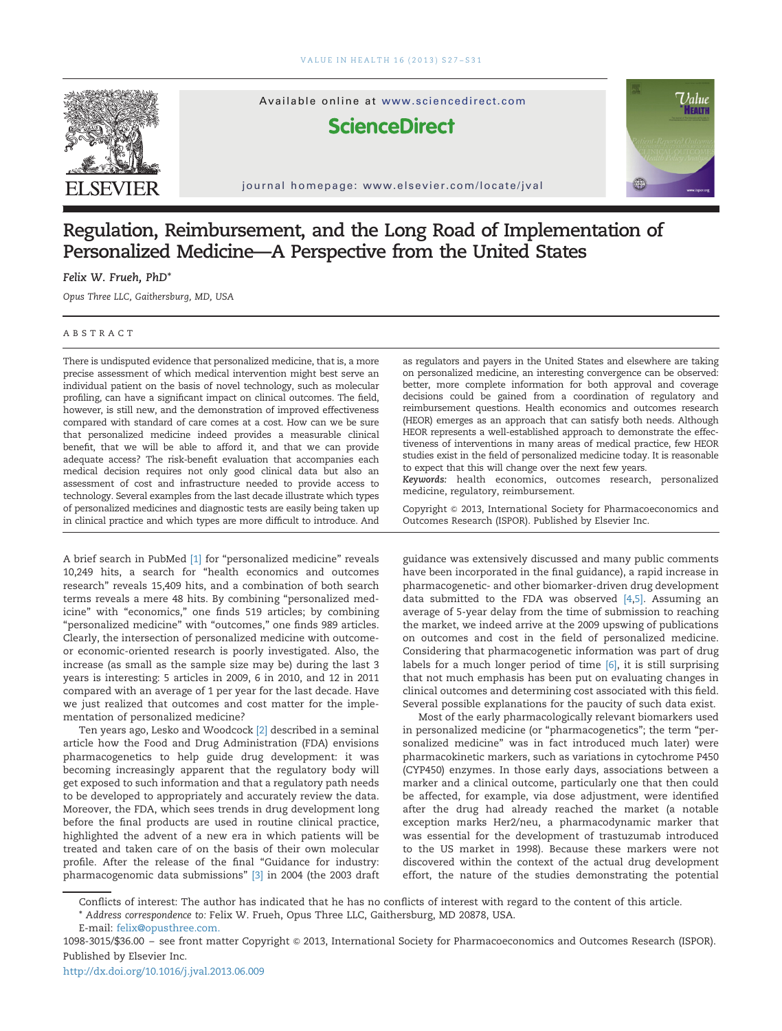

Available online at www.sciencedirect.com

## **ScienceDirect**

journal homepage: www.elsevier.com/locate/jval



## Regulation, Reimbursement, and the Long Road of Implementation of Personalized Medicine—A Perspective from the United States

Felix W. Frueh, PhD\*

Opus Three LLC, Gaithersburg, MD, USA

## ABSTRACT

There is undisputed evidence that personalized medicine, that is, a more precise assessment of which medical intervention might best serve an individual patient on the basis of novel technology, such as molecular profiling, can have a significant impact on clinical outcomes. The field, however, is still new, and the demonstration of improved effectiveness compared with standard of care comes at a cost. How can we be sure that personalized medicine indeed provides a measurable clinical benefit, that we will be able to afford it, and that we can provide adequate access? The risk-benefit evaluation that accompanies each medical decision requires not only good clinical data but also an assessment of cost and infrastructure needed to provide access to technology. Several examples from the last decade illustrate which types of personalized medicines and diagnostic tests are easily being taken up in clinical practice and which types are more difficult to introduce. And

A brief search in PubMed [\[1\]](#page--1-0) for "personalized medicine" reveals 10,249 hits, a search for "health economics and outcomes research" reveals 15,409 hits, and a combination of both search terms reveals a mere 48 hits. By combining "personalized medicine" with "economics," one finds 519 articles; by combining "personalized medicine" with "outcomes," one finds 989 articles. Clearly, the intersection of personalized medicine with outcomeor economic-oriented research is poorly investigated. Also, the increase (as small as the sample size may be) during the last 3 years is interesting: 5 articles in 2009, 6 in 2010, and 12 in 2011 compared with an average of 1 per year for the last decade. Have we just realized that outcomes and cost matter for the implementation of personalized medicine?

Ten years ago, Lesko and Woodcock [\[2\]](#page--1-0) described in a seminal article how the Food and Drug Administration (FDA) envisions pharmacogenetics to help guide drug development: it was becoming increasingly apparent that the regulatory body will get exposed to such information and that a regulatory path needs to be developed to appropriately and accurately review the data. Moreover, the FDA, which sees trends in drug development long before the final products are used in routine clinical practice, highlighted the advent of a new era in which patients will be treated and taken care of on the basis of their own molecular profile. After the release of the final "Guidance for industry: pharmacogenomic data submissions" [\[3\]](#page--1-0) in 2004 (the 2003 draft as regulators and payers in the United States and elsewhere are taking on personalized medicine, an interesting convergence can be observed: better, more complete information for both approval and coverage decisions could be gained from a coordination of regulatory and reimbursement questions. Health economics and outcomes research (HEOR) emerges as an approach that can satisfy both needs. Although HEOR represents a well-established approach to demonstrate the effectiveness of interventions in many areas of medical practice, few HEOR studies exist in the field of personalized medicine today. It is reasonable to expect that this will change over the next few years.

Keywords: health economics, outcomes research, personalized medicine, regulatory, reimbursement.

Copyright & 2013, International Society for Pharmacoeconomics and Outcomes Research (ISPOR). Published by Elsevier Inc.

guidance was extensively discussed and many public comments have been incorporated in the final guidance), a rapid increase in pharmacogenetic- and other biomarker-driven drug development data submitted to the FDA was observed [\[4,5\].](#page--1-0) Assuming an average of 5-year delay from the time of submission to reaching the market, we indeed arrive at the 2009 upswing of publications on outcomes and cost in the field of personalized medicine. Considering that pharmacogenetic information was part of drug labels for a much longer period of time [\[6\],](#page--1-0) it is still surprising that not much emphasis has been put on evaluating changes in clinical outcomes and determining cost associated with this field. Several possible explanations for the paucity of such data exist.

Most of the early pharmacologically relevant biomarkers used in personalized medicine (or "pharmacogenetics"; the term "personalized medicine" was in fact introduced much later) were pharmacokinetic markers, such as variations in cytochrome P450 (CYP450) enzymes. In those early days, associations between a marker and a clinical outcome, particularly one that then could be affected, for example, via dose adjustment, were identified after the drug had already reached the market (a notable exception marks Her2/neu, a pharmacodynamic marker that was essential for the development of trastuzumab introduced to the US market in 1998). Because these markers were not discovered within the context of the actual drug development effort, the nature of the studies demonstrating the potential

Conflicts of interest: The author has indicated that he has no conflicts of interest with regard to the content of this article.

<sup>\*</sup> Address correspondence to: Felix W. Frueh, Opus Three LLC, Gaithersburg, MD 20878, USA.

E-mail: [felix@opusthree.com](mailto:felix@opusthree.com).

<sup>1098-3015/\$36.00</sup> – see front matter Copyright & 2013, International Society for Pharmacoeconomics and Outcomes Research (ISPOR). Published by Elsevier Inc.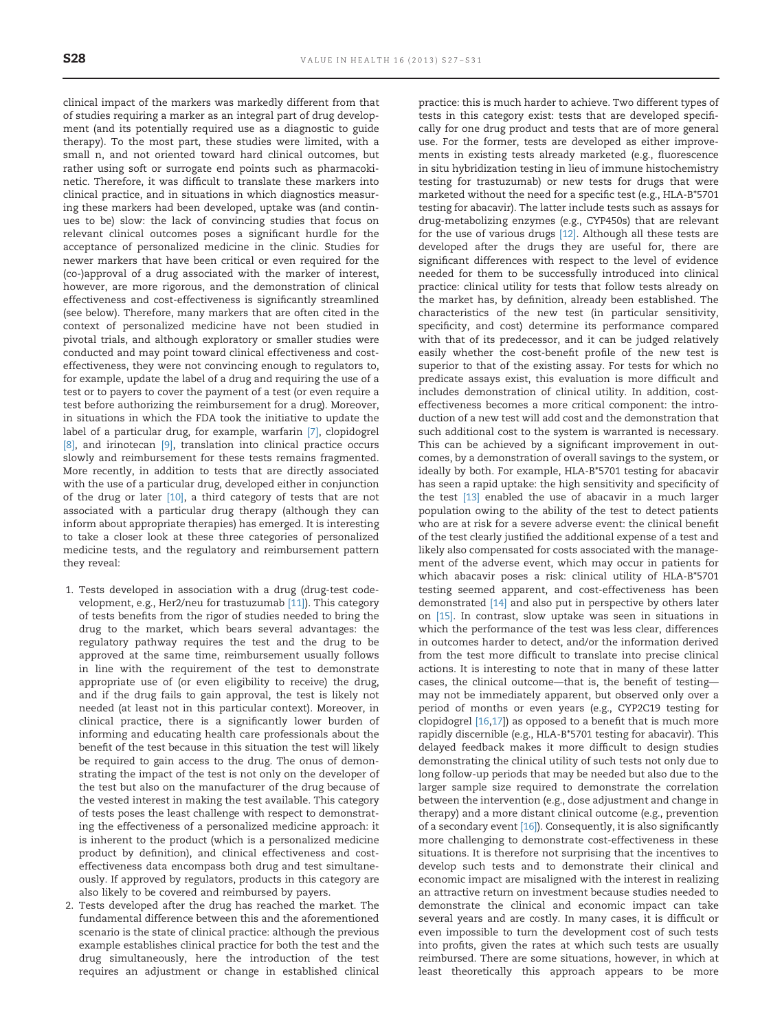clinical impact of the markers was markedly different from that of studies requiring a marker as an integral part of drug development (and its potentially required use as a diagnostic to guide therapy). To the most part, these studies were limited, with a small n, and not oriented toward hard clinical outcomes, but rather using soft or surrogate end points such as pharmacokinetic. Therefore, it was difficult to translate these markers into clinical practice, and in situations in which diagnostics measuring these markers had been developed, uptake was (and continues to be) slow: the lack of convincing studies that focus on relevant clinical outcomes poses a significant hurdle for the acceptance of personalized medicine in the clinic. Studies for newer markers that have been critical or even required for the (co-)approval of a drug associated with the marker of interest, however, are more rigorous, and the demonstration of clinical effectiveness and cost-effectiveness is significantly streamlined (see below). Therefore, many markers that are often cited in the context of personalized medicine have not been studied in pivotal trials, and although exploratory or smaller studies were conducted and may point toward clinical effectiveness and costeffectiveness, they were not convincing enough to regulators to, for example, update the label of a drug and requiring the use of a test or to payers to cover the payment of a test (or even require a test before authorizing the reimbursement for a drug). Moreover, in situations in which the FDA took the initiative to update the label of a particular drug, for example, warfarin [\[7\]](#page--1-0), clopidogrel [\[8\],](#page--1-0) and irinotecan [\[9\]](#page--1-0), translation into clinical practice occurs slowly and reimbursement for these tests remains fragmented. More recently, in addition to tests that are directly associated with the use of a particular drug, developed either in conjunction of the drug or later [\[10\],](#page--1-0) a third category of tests that are not associated with a particular drug therapy (although they can inform about appropriate therapies) has emerged. It is interesting to take a closer look at these three categories of personalized medicine tests, and the regulatory and reimbursement pattern they reveal:

- 1. Tests developed in association with a drug (drug-test codevelopment, e.g., Her2/neu for trastuzumab [\[11\]\)](#page--1-0). This category of tests benefits from the rigor of studies needed to bring the drug to the market, which bears several advantages: the regulatory pathway requires the test and the drug to be approved at the same time, reimbursement usually follows in line with the requirement of the test to demonstrate appropriate use of (or even eligibility to receive) the drug, and if the drug fails to gain approval, the test is likely not needed (at least not in this particular context). Moreover, in clinical practice, there is a significantly lower burden of informing and educating health care professionals about the benefit of the test because in this situation the test will likely be required to gain access to the drug. The onus of demonstrating the impact of the test is not only on the developer of the test but also on the manufacturer of the drug because of the vested interest in making the test available. This category of tests poses the least challenge with respect to demonstrating the effectiveness of a personalized medicine approach: it is inherent to the product (which is a personalized medicine product by definition), and clinical effectiveness and costeffectiveness data encompass both drug and test simultaneously. If approved by regulators, products in this category are also likely to be covered and reimbursed by payers.
- 2. Tests developed after the drug has reached the market. The fundamental difference between this and the aforementioned scenario is the state of clinical practice: although the previous example establishes clinical practice for both the test and the drug simultaneously, here the introduction of the test requires an adjustment or change in established clinical

practice: this is much harder to achieve. Two different types of tests in this category exist: tests that are developed specifically for one drug product and tests that are of more general use. For the former, tests are developed as either improvements in existing tests already marketed (e.g., fluorescence in situ hybridization testing in lieu of immune histochemistry testing for trastuzumab) or new tests for drugs that were marketed without the need for a specific test (e.g., HLA-B\*5701 testing for abacavir). The latter include tests such as assays for drug-metabolizing enzymes (e.g., CYP450s) that are relevant for the use of various drugs [\[12\].](#page--1-0) Although all these tests are developed after the drugs they are useful for, there are significant differences with respect to the level of evidence needed for them to be successfully introduced into clinical practice: clinical utility for tests that follow tests already on the market has, by definition, already been established. The characteristics of the new test (in particular sensitivity, specificity, and cost) determine its performance compared with that of its predecessor, and it can be judged relatively easily whether the cost-benefit profile of the new test is superior to that of the existing assay. For tests for which no predicate assays exist, this evaluation is more difficult and includes demonstration of clinical utility. In addition, costeffectiveness becomes a more critical component: the introduction of a new test will add cost and the demonstration that such additional cost to the system is warranted is necessary. This can be achieved by a significant improvement in outcomes, by a demonstration of overall savings to the system, or ideally by both. For example, HLA-B\*5701 testing for abacavir has seen a rapid uptake: the high sensitivity and specificity of the test [\[13\]](#page--1-0) enabled the use of abacavir in a much larger population owing to the ability of the test to detect patients who are at risk for a severe adverse event: the clinical benefit of the test clearly justified the additional expense of a test and likely also compensated for costs associated with the management of the adverse event, which may occur in patients for which abacavir poses a risk: clinical utility of HLA-B\*5701 testing seemed apparent, and cost-effectiveness has been demonstrated [\[14\]](#page--1-0) and also put in perspective by others later on [\[15\]](#page--1-0). In contrast, slow uptake was seen in situations in which the performance of the test was less clear, differences in outcomes harder to detect, and/or the information derived from the test more difficult to translate into precise clinical actions. It is interesting to note that in many of these latter cases, the clinical outcome—that is, the benefit of testing may not be immediately apparent, but observed only over a period of months or even years (e.g., CYP2C19 testing for clopidogrel [\[16,17\]](#page--1-0)) as opposed to a benefit that is much more rapidly discernible (e.g., HLA-B\*5701 testing for abacavir). This delayed feedback makes it more difficult to design studies demonstrating the clinical utility of such tests not only due to long follow-up periods that may be needed but also due to the larger sample size required to demonstrate the correlation between the intervention (e.g., dose adjustment and change in therapy) and a more distant clinical outcome (e.g., prevention of a secondary event [\[16\]](#page--1-0)). Consequently, it is also significantly more challenging to demonstrate cost-effectiveness in these situations. It is therefore not surprising that the incentives to develop such tests and to demonstrate their clinical and economic impact are misaligned with the interest in realizing an attractive return on investment because studies needed to demonstrate the clinical and economic impact can take several years and are costly. In many cases, it is difficult or even impossible to turn the development cost of such tests into profits, given the rates at which such tests are usually reimbursed. There are some situations, however, in which at least theoretically this approach appears to be more